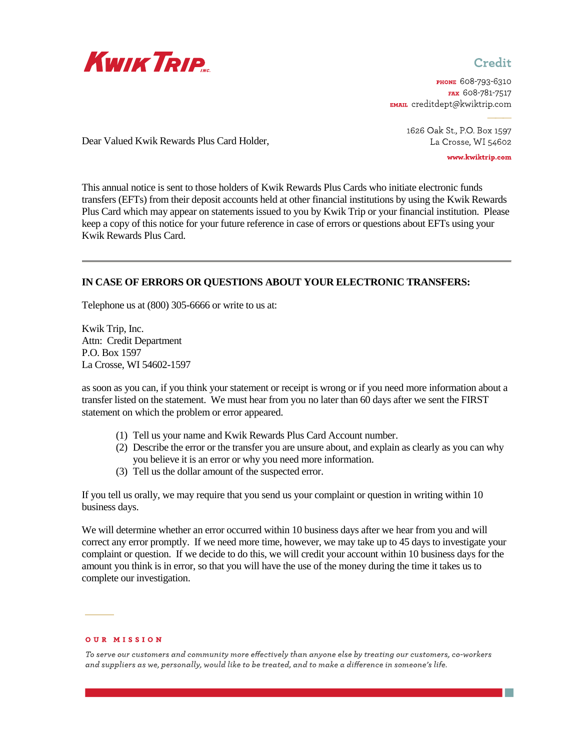

## Credit

рноме 608-793-6310 FAX 608-781-7517 EMAIL creditdept@kwiktrip.com

> 1626 Oak St., P.O. Box 1597 La Crosse, WI 54602

> > www.kwiktrip.com

Dear Valued Kwik Rewards Plus Card Holder,

This annual notice is sent to those holders of Kwik Rewards Plus Cards who initiate electronic funds transfers (EFTs) from their deposit accounts held at other financial institutions by using the Kwik Rewards Plus Card which may appear on statements issued to you by Kwik Trip or your financial institution. Please keep a copy of this notice for your future reference in case of errors or questions about EFTs using your Kwik Rewards Plus Card.

## **IN CASE OF ERRORS OR QUESTIONS ABOUT YOUR ELECTRONIC TRANSFERS:**

Telephone us at (800) 305-6666 or write to us at:

Kwik Trip, Inc. Attn: Credit Department P.O. Box 1597 La Crosse, WI 54602-1597

as soon as you can, if you think your statement or receipt is wrong or if you need more information about a transfer listed on the statement. We must hear from you no later than 60 days after we sent the FIRST statement on which the problem or error appeared.

- (1) Tell us your name and Kwik Rewards Plus Card Account number.
- (2) Describe the error or the transfer you are unsure about, and explain as clearly as you can why you believe it is an error or why you need more information.
- (3) Tell us the dollar amount of the suspected error.

If you tell us orally, we may require that you send us your complaint or question in writing within 10 business days.

We will determine whether an error occurred within 10 business days after we hear from you and will correct any error promptly. If we need more time, however, we may take up to 45 days to investigate your complaint or question. If we decide to do this, we will credit your account within 10 business days for the amount you think is in error, so that you will have the use of the money during the time it takes us to complete our investigation.

## **OUR MISSION**

To serve our customers and community more effectively than anyone else by treating our customers, co-workers and suppliers as we, personally, would like to be treated, and to make a difference in someone's life.